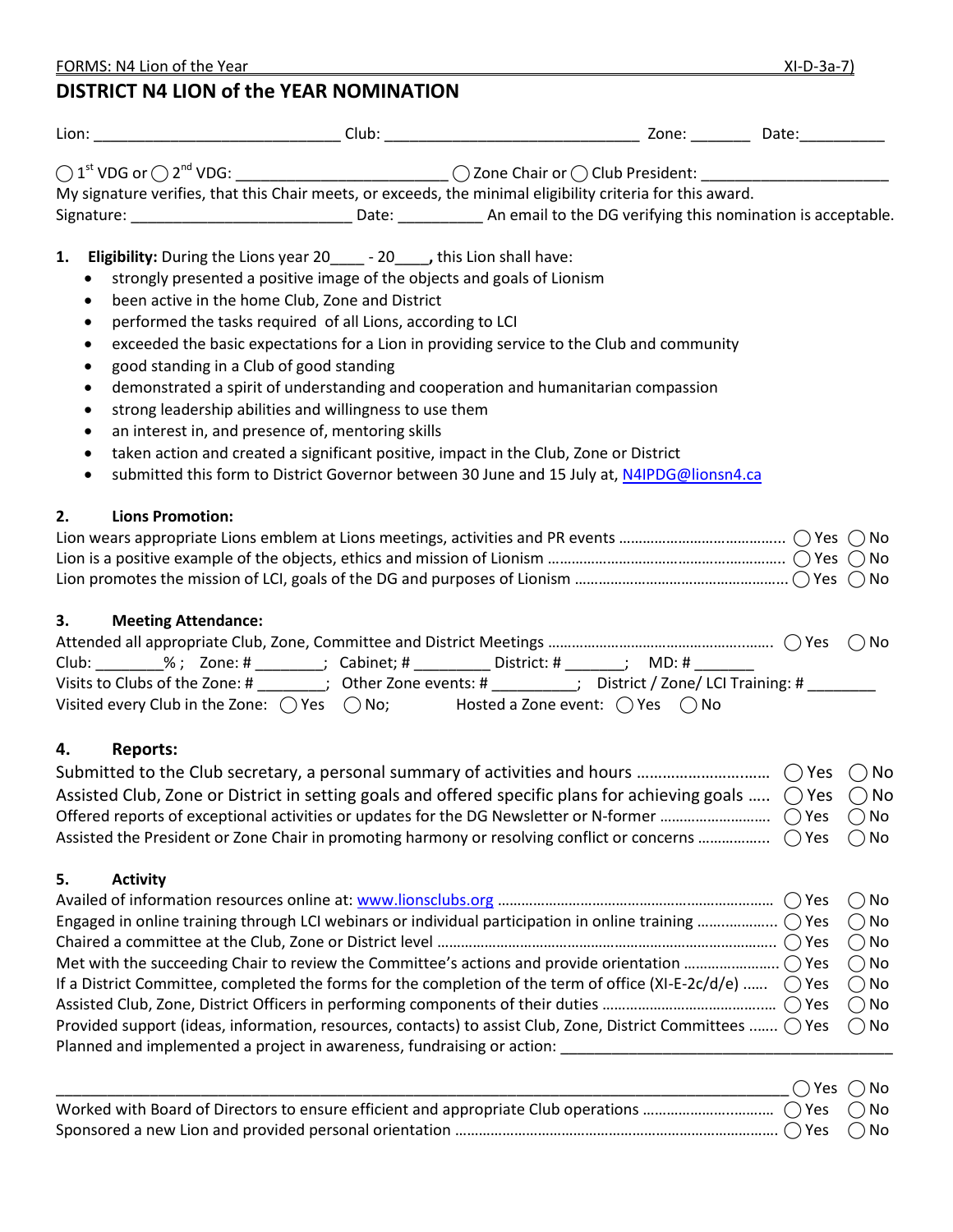|                                                                                                                      | My signature verifies, that this Chair meets, or exceeds, the minimal eligibility criteria for this award.                                                                                                                                                                                                                                                                                                                                                                                                                                                                                                                                                                                                                                                                                                             |                                                                                                                                             |
|----------------------------------------------------------------------------------------------------------------------|------------------------------------------------------------------------------------------------------------------------------------------------------------------------------------------------------------------------------------------------------------------------------------------------------------------------------------------------------------------------------------------------------------------------------------------------------------------------------------------------------------------------------------------------------------------------------------------------------------------------------------------------------------------------------------------------------------------------------------------------------------------------------------------------------------------------|---------------------------------------------------------------------------------------------------------------------------------------------|
|                                                                                                                      | Signature: ___________________________________Date: _____________________________ An email to the DG verifying this nomination is acceptable.                                                                                                                                                                                                                                                                                                                                                                                                                                                                                                                                                                                                                                                                          |                                                                                                                                             |
| 1.<br>$\bullet$<br>$\bullet$<br>٠<br>$\bullet$<br>$\bullet$<br>٠<br>$\bullet$<br>$\bullet$<br>$\bullet$<br>$\bullet$ | <b>Eligibility:</b> During the Lions year 20______ - 20_____, this Lion shall have:<br>strongly presented a positive image of the objects and goals of Lionism<br>been active in the home Club, Zone and District<br>performed the tasks required of all Lions, according to LCI<br>exceeded the basic expectations for a Lion in providing service to the Club and community<br>good standing in a Club of good standing<br>demonstrated a spirit of understanding and cooperation and humanitarian compassion<br>strong leadership abilities and willingness to use them<br>an interest in, and presence of, mentoring skills<br>taken action and created a significant positive, impact in the Club, Zone or District<br>submitted this form to District Governor between 30 June and 15 July at, N4IPDG@lionsn4.ca |                                                                                                                                             |
| <b>Lions Promotion:</b><br>2.                                                                                        |                                                                                                                                                                                                                                                                                                                                                                                                                                                                                                                                                                                                                                                                                                                                                                                                                        |                                                                                                                                             |
| 3.<br><b>Meeting Attendance:</b>                                                                                     | Club: ________%; Zone: # _______; Cabinet; # _________ District: # ______; MD: # ____<br>Visits to Clubs of the Zone: # _______; Other Zone events: # ________; District / Zone/ LCI Training: # _______<br>Visited every Club in the Zone: $\bigcirc$ Yes $\bigcirc$ No; Hosted a Zone event: $\bigcirc$ Yes $\bigcirc$ No                                                                                                                                                                                                                                                                                                                                                                                                                                                                                            |                                                                                                                                             |
| <b>Reports:</b><br>4.                                                                                                | Assisted Club, Zone or District in setting goals and offered specific plans for achieving goals $\bigcirc$ Yes $\bigcirc$ No<br>Assisted the President or Zone Chair in promoting harmony or resolving conflict or concerns $\bigcirc$ Yes                                                                                                                                                                                                                                                                                                                                                                                                                                                                                                                                                                             | $\bigcap$ No<br>( ) No                                                                                                                      |
| 5.<br><b>Activity</b>                                                                                                | Engaged in online training through LCI webinars or individual participation in online training $\bigcap$ Yes<br>If a District Committee, completed the forms for the completion of the term of office (XI-E-2c/d/e)<br>Provided support (ideas, information, resources, contacts) to assist Club, Zone, District Committees $\bigcirc$ Yes                                                                                                                                                                                                                                                                                                                                                                                                                                                                             | $()$ No<br>$\bigcirc$ No<br>$\bigcirc$ No<br>$\bigcirc$ No<br>$\bigcirc$ No<br>$\bigcirc$ Yes<br>$\bigcirc$ No<br>$()$ Yes<br>$\bigcirc$ No |

FORMS: N4 Lion of the Year XI-D-3a-7)

**DISTRICT N4 LION of the YEAR NOMINATION**

| $\bigcap$ Yes $\bigcap$ No |  |
|----------------------------|--|
|                            |  |
|                            |  |

Planned and implemented a project in awareness, fundraising or action: \_\_\_\_\_\_\_\_\_\_\_\_\_\_\_\_\_\_\_\_\_\_\_\_\_\_\_\_\_\_\_\_\_\_\_\_\_\_\_